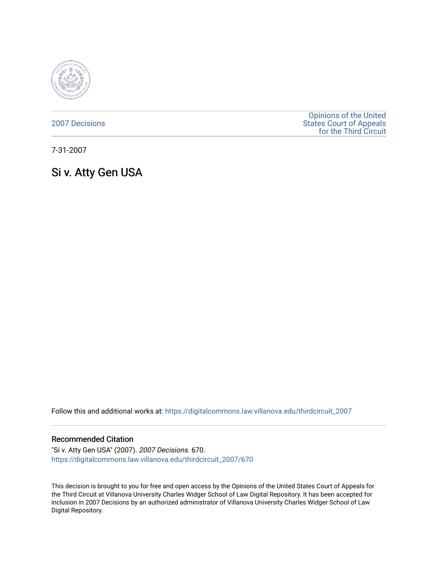

[2007 Decisions](https://digitalcommons.law.villanova.edu/thirdcircuit_2007)

[Opinions of the United](https://digitalcommons.law.villanova.edu/thirdcircuit)  [States Court of Appeals](https://digitalcommons.law.villanova.edu/thirdcircuit)  [for the Third Circuit](https://digitalcommons.law.villanova.edu/thirdcircuit) 

7-31-2007

# Si v. Atty Gen USA

Follow this and additional works at: [https://digitalcommons.law.villanova.edu/thirdcircuit\\_2007](https://digitalcommons.law.villanova.edu/thirdcircuit_2007?utm_source=digitalcommons.law.villanova.edu%2Fthirdcircuit_2007%2F670&utm_medium=PDF&utm_campaign=PDFCoverPages) 

#### Recommended Citation

"Si v. Atty Gen USA" (2007). 2007 Decisions. 670. [https://digitalcommons.law.villanova.edu/thirdcircuit\\_2007/670](https://digitalcommons.law.villanova.edu/thirdcircuit_2007/670?utm_source=digitalcommons.law.villanova.edu%2Fthirdcircuit_2007%2F670&utm_medium=PDF&utm_campaign=PDFCoverPages)

This decision is brought to you for free and open access by the Opinions of the United States Court of Appeals for the Third Circuit at Villanova University Charles Widger School of Law Digital Repository. It has been accepted for inclusion in 2007 Decisions by an authorized administrator of Villanova University Charles Widger School of Law Digital Repository.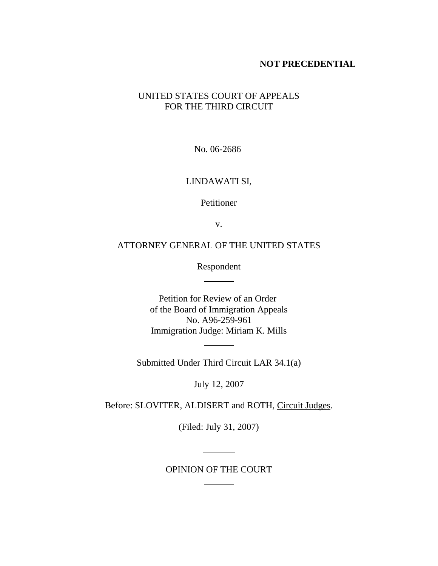## **NOT PRECEDENTIAL**

## UNITED STATES COURT OF APPEALS FOR THE THIRD CIRCUIT

No. 06-2686 

 $\frac{1}{2}$  and  $\frac{1}{2}$  and  $\frac{1}{2}$ 

## LINDAWATI SI,

Petitioner

v.

## ATTORNEY GENERAL OF THE UNITED STATES

Respondent

 $\frac{1}{\sqrt{1-\frac{1}{2}}\cdot\frac{1}{2}}$ 

Petition for Review of an Order of the Board of Immigration Appeals No. A96-259-961 Immigration Judge: Miriam K. Mills

Submitted Under Third Circuit LAR 34.1(a)

 $\overline{\phantom{a}}$ 

July 12, 2007

Before: SLOVITER, ALDISERT and ROTH, Circuit Judges.

(Filed: July 31, 2007)

OPINION OF THE COURT

 $\ddot{\phantom{a}}$ 

 $\overline{\phantom{a}}$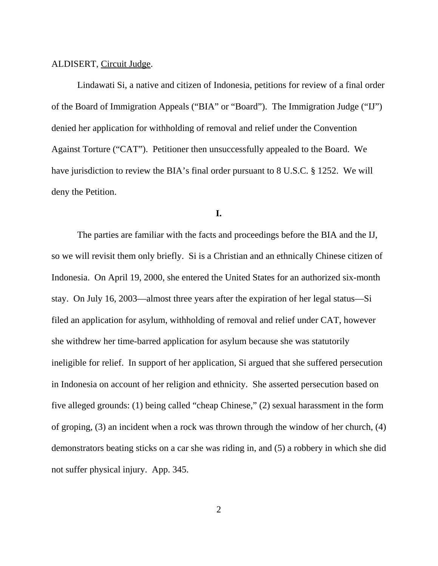#### ALDISERT, Circuit Judge.

Lindawati Si, a native and citizen of Indonesia, petitions for review of a final order of the Board of Immigration Appeals ("BIA" or "Board"). The Immigration Judge ("IJ") denied her application for withholding of removal and relief under the Convention Against Torture ("CAT"). Petitioner then unsuccessfully appealed to the Board. We have jurisdiction to review the BIA's final order pursuant to 8 U.S.C. § 1252. We will deny the Petition.

## **I.**

The parties are familiar with the facts and proceedings before the BIA and the IJ, so we will revisit them only briefly. Si is a Christian and an ethnically Chinese citizen of Indonesia. On April 19, 2000, she entered the United States for an authorized six-month stay. On July 16, 2003—almost three years after the expiration of her legal status—Si filed an application for asylum, withholding of removal and relief under CAT, however she withdrew her time-barred application for asylum because she was statutorily ineligible for relief. In support of her application, Si argued that she suffered persecution in Indonesia on account of her religion and ethnicity. She asserted persecution based on five alleged grounds: (1) being called "cheap Chinese," (2) sexual harassment in the form of groping, (3) an incident when a rock was thrown through the window of her church, (4) demonstrators beating sticks on a car she was riding in, and (5) a robbery in which she did not suffer physical injury. App. 345.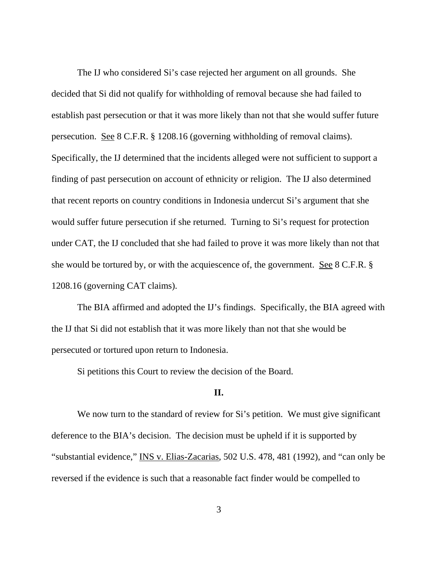The IJ who considered Si's case rejected her argument on all grounds. She decided that Si did not qualify for withholding of removal because she had failed to establish past persecution or that it was more likely than not that she would suffer future persecution. See 8 C.F.R. § 1208.16 (governing withholding of removal claims). Specifically, the IJ determined that the incidents alleged were not sufficient to support a finding of past persecution on account of ethnicity or religion. The IJ also determined that recent reports on country conditions in Indonesia undercut Si's argument that she would suffer future persecution if she returned. Turning to Si's request for protection under CAT, the IJ concluded that she had failed to prove it was more likely than not that she would be tortured by, or with the acquiescence of, the government. See 8 C.F.R. § 1208.16 (governing CAT claims).

The BIA affirmed and adopted the IJ's findings. Specifically, the BIA agreed with the IJ that Si did not establish that it was more likely than not that she would be persecuted or tortured upon return to Indonesia.

Si petitions this Court to review the decision of the Board.

#### **II.**

We now turn to the standard of review for Si's petition. We must give significant deference to the BIA's decision. The decision must be upheld if it is supported by "substantial evidence," INS v. Elias-Zacarias, 502 U.S. 478, 481 (1992), and "can only be reversed if the evidence is such that a reasonable fact finder would be compelled to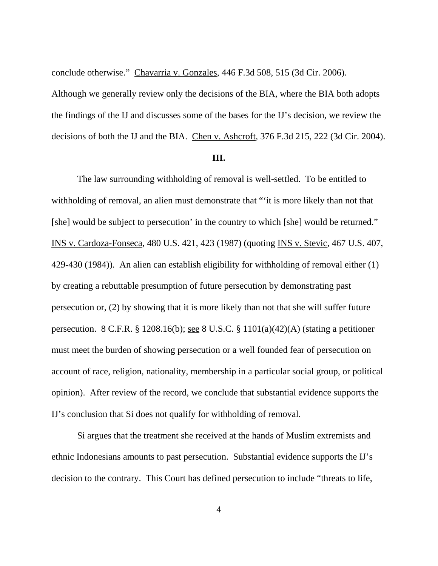conclude otherwise." Chavarria v. Gonzales, 446 F.3d 508, 515 (3d Cir. 2006).

Although we generally review only the decisions of the BIA, where the BIA both adopts the findings of the IJ and discusses some of the bases for the IJ's decision, we review the decisions of both the IJ and the BIA. Chen v. Ashcroft, 376 F.3d 215, 222 (3d Cir. 2004).

#### **III.**

The law surrounding withholding of removal is well-settled. To be entitled to withholding of removal, an alien must demonstrate that ""it is more likely than not that [she] would be subject to persecution' in the country to which [she] would be returned." INS v. Cardoza-Fonseca, 480 U.S. 421, 423 (1987) (quoting INS v. Stevic, 467 U.S. 407, 429-430 (1984)). An alien can establish eligibility for withholding of removal either (1) by creating a rebuttable presumption of future persecution by demonstrating past persecution or, (2) by showing that it is more likely than not that she will suffer future persecution. 8 C.F.R. § 1208.16(b); see 8 U.S.C. § 1101(a)(42)(A) (stating a petitioner must meet the burden of showing persecution or a well founded fear of persecution on account of race, religion, nationality, membership in a particular social group, or political opinion). After review of the record, we conclude that substantial evidence supports the IJ's conclusion that Si does not qualify for withholding of removal.

Si argues that the treatment she received at the hands of Muslim extremists and ethnic Indonesians amounts to past persecution. Substantial evidence supports the IJ's decision to the contrary. This Court has defined persecution to include "threats to life,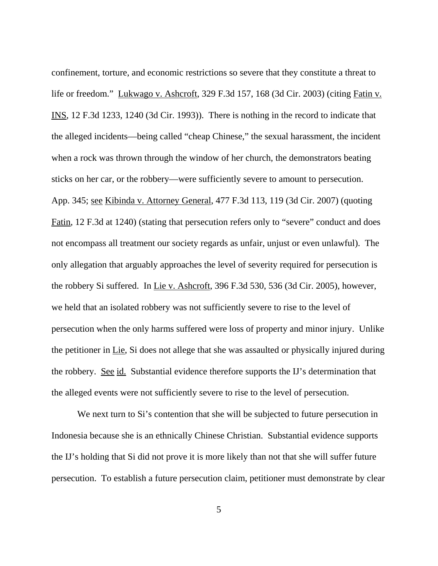confinement, torture, and economic restrictions so severe that they constitute a threat to life or freedom." Lukwago v. Ashcroft, 329 F.3d 157, 168 (3d Cir. 2003) (citing Fatin v. INS, 12 F.3d 1233, 1240 (3d Cir. 1993)). There is nothing in the record to indicate that the alleged incidents—being called "cheap Chinese," the sexual harassment, the incident when a rock was thrown through the window of her church, the demonstrators beating sticks on her car, or the robbery—were sufficiently severe to amount to persecution. App. 345; see Kibinda v. Attorney General, 477 F.3d 113, 119 (3d Cir. 2007) (quoting Fatin, 12 F.3d at 1240) (stating that persecution refers only to "severe" conduct and does not encompass all treatment our society regards as unfair, unjust or even unlawful). The only allegation that arguably approaches the level of severity required for persecution is the robbery Si suffered. In Lie v. Ashcroft, 396 F.3d 530, 536 (3d Cir. 2005), however, we held that an isolated robbery was not sufficiently severe to rise to the level of persecution when the only harms suffered were loss of property and minor injury. Unlike the petitioner in Lie, Si does not allege that she was assaulted or physically injured during the robbery. See id. Substantial evidence therefore supports the IJ's determination that the alleged events were not sufficiently severe to rise to the level of persecution.

We next turn to Si's contention that she will be subjected to future persecution in Indonesia because she is an ethnically Chinese Christian. Substantial evidence supports the IJ's holding that Si did not prove it is more likely than not that she will suffer future persecution. To establish a future persecution claim, petitioner must demonstrate by clear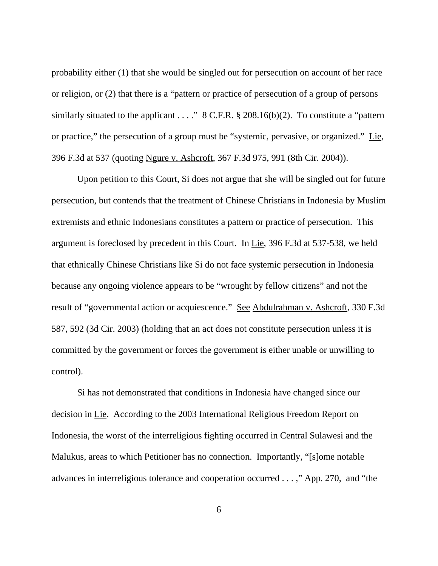probability either (1) that she would be singled out for persecution on account of her race or religion, or (2) that there is a "pattern or practice of persecution of a group of persons similarly situated to the applicant . . . . "  $8$  C.F.R.  $\S$  208.16(b)(2). To constitute a "pattern or practice," the persecution of a group must be "systemic, pervasive, or organized." Lie, 396 F.3d at 537 (quoting Ngure v. Ashcroft, 367 F.3d 975, 991 (8th Cir. 2004)).

Upon petition to this Court, Si does not argue that she will be singled out for future persecution, but contends that the treatment of Chinese Christians in Indonesia by Muslim extremists and ethnic Indonesians constitutes a pattern or practice of persecution. This argument is foreclosed by precedent in this Court. In Lie, 396 F.3d at 537-538, we held that ethnically Chinese Christians like Si do not face systemic persecution in Indonesia because any ongoing violence appears to be "wrought by fellow citizens" and not the result of "governmental action or acquiescence." See Abdulrahman v. Ashcroft, 330 F.3d 587, 592 (3d Cir. 2003) (holding that an act does not constitute persecution unless it is committed by the government or forces the government is either unable or unwilling to control).

Si has not demonstrated that conditions in Indonesia have changed since our decision in Lie. According to the 2003 International Religious Freedom Report on Indonesia, the worst of the interreligious fighting occurred in Central Sulawesi and the Malukus, areas to which Petitioner has no connection. Importantly, "[s]ome notable advances in interreligious tolerance and cooperation occurred . . . ," App. 270, and "the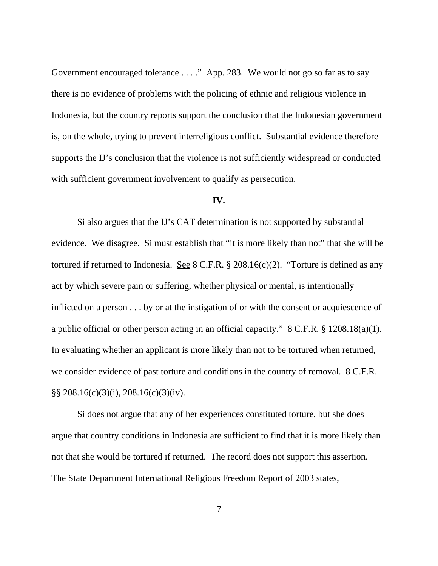Government encouraged tolerance . . . ." App. 283. We would not go so far as to say there is no evidence of problems with the policing of ethnic and religious violence in Indonesia, but the country reports support the conclusion that the Indonesian government is, on the whole, trying to prevent interreligious conflict. Substantial evidence therefore supports the IJ's conclusion that the violence is not sufficiently widespread or conducted with sufficient government involvement to qualify as persecution.

### **IV.**

Si also argues that the IJ's CAT determination is not supported by substantial evidence. We disagree. Si must establish that "it is more likely than not" that she will be tortured if returned to Indonesia. See 8 C.F.R.  $\S 208.16(c)(2)$ . "Torture is defined as any act by which severe pain or suffering, whether physical or mental, is intentionally inflicted on a person . . . by or at the instigation of or with the consent or acquiescence of a public official or other person acting in an official capacity." 8 C.F.R. § 1208.18(a)(1). In evaluating whether an applicant is more likely than not to be tortured when returned, we consider evidence of past torture and conditions in the country of removal. 8 C.F.R. §§ 208.16(c)(3)(i), 208.16(c)(3)(iv).

Si does not argue that any of her experiences constituted torture, but she does argue that country conditions in Indonesia are sufficient to find that it is more likely than not that she would be tortured if returned. The record does not support this assertion. The State Department International Religious Freedom Report of 2003 states,